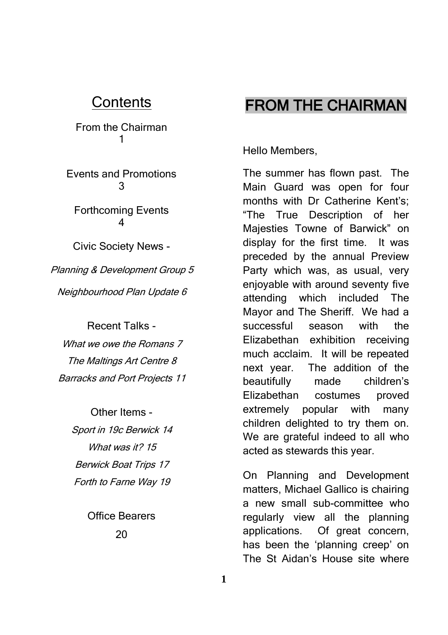### **Contents**

From the Chairman 1

Events and Promotions 3

Forthcoming Events 4

Civic Society News -

Planning & Development Group 5 Neighbourhood Plan Update 6

Recent Talks - What we owe the Romans 7 The Maltings Art Centre 8 Barracks and Port Projects 11

> Other Items - Sport in 19c Berwick 14 What was it? 15 Berwick Boat Trips 17 Forth to Farne Way 19

> > Office Bearers 20

## FROM THE CHAIRMAN

Hello Members,

The summer has flown past. The Main Guard was open for four months with Dr Catherine Kent's; "The True Description of her Majesties Towne of Barwick" on display for the first time. It was preceded by the annual Preview Party which was, as usual, very enjoyable with around seventy five attending which included The Mayor and The Sheriff. We had a successful season with the Elizabethan exhibition receiving much acclaim. It will be repeated next year. The addition of the beautifully made children's Elizabethan costumes proved extremely popular with many children delighted to try them on. We are grateful indeed to all who acted as stewards this year.

On Planning and Development matters, Michael Gallico is chairing a new small sub-committee who regularly view all the planning applications. Of great concern, has been the 'planning creep' on The St Aidan's House site where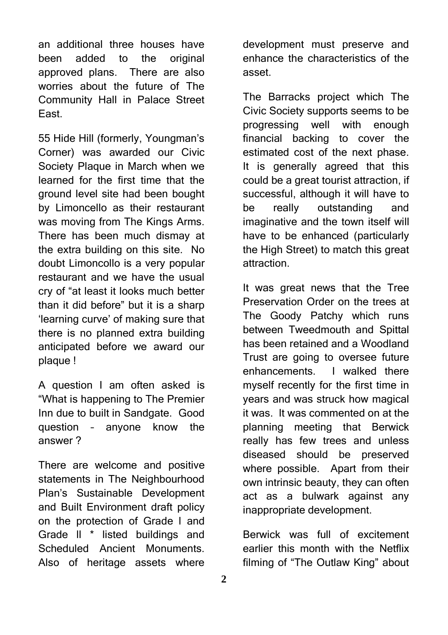an additional three houses have been added to the original approved plans. There are also worries about the future of The Community Hall in Palace Street East.

55 Hide Hill (formerly, Youngman's Corner) was awarded our Civic Society Plaque in March when we learned for the first time that the ground level site had been bought by Limoncello as their restaurant was moving from The Kings Arms. There has been much dismay at the extra building on this site. No doubt Limoncollo is a very popular restaurant and we have the usual cry of "at least it looks much better than it did before" but it is a sharp 'learning curve' of making sure that there is no planned extra building anticipated before we award our plaque !

A question I am often asked is "What is happening to The Premier Inn due to built in Sandgate. Good question – anyone know the answer ?

There are welcome and positive statements in The Neighbourhood Plan's Sustainable Development and Built Environment draft policy on the protection of Grade l and Grade ll \* listed buildings and Scheduled Ancient Monuments. Also of heritage assets where

development must preserve and enhance the characteristics of the asset.

The Barracks project which The Civic Society supports seems to be progressing well with enough financial backing to cover the estimated cost of the next phase. It is generally agreed that this could be a great tourist attraction, if successful, although it will have to be really outstanding and imaginative and the town itself will have to be enhanced (particularly the High Street) to match this great attraction.

It was great news that the Tree Preservation Order on the trees at The Goody Patchy which runs between Tweedmouth and Spittal has been retained and a Woodland Trust are going to oversee future enhancements. I walked there myself recently for the first time in years and was struck how magical it was. It was commented on at the planning meeting that Berwick really has few trees and unless diseased should be preserved where possible. Apart from their own intrinsic beauty, they can often act as a bulwark against any inappropriate development.

Berwick was full of excitement earlier this month with the Netflix filming of "The Outlaw King" about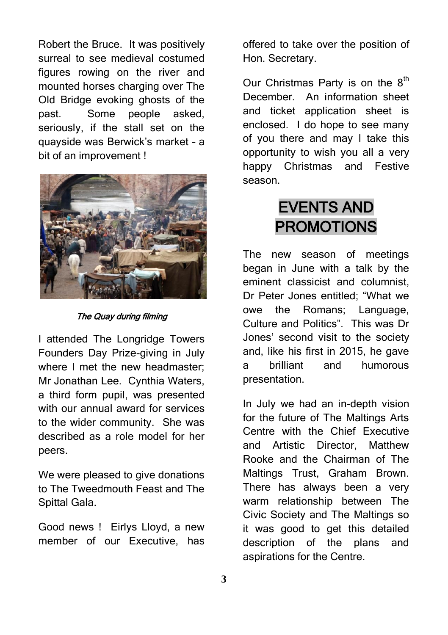Robert the Bruce. It was positively surreal to see medieval costumed figures rowing on the river and mounted horses charging over The Old Bridge evoking ghosts of the past. Some people asked, seriously, if the stall set on the quayside was Berwick's market – a bit of an improvement !



The Quay during filming

I attended The Longridge Towers Founders Day Prize-giving in July where I met the new headmaster: Mr Jonathan Lee. Cynthia Waters, a third form pupil, was presented with our annual award for services to the wider community. She was described as a role model for her peers.

We were pleased to give donations to The Tweedmouth Feast and The Spittal Gala.

Good news ! Eirlys Lloyd, a new member of our Executive, has

offered to take over the position of Hon. Secretary.

Our Christmas Party is on the  $8<sup>th</sup>$ December. An information sheet and ticket application sheet is enclosed. I do hope to see many of you there and may I take this opportunity to wish you all a very happy Christmas and Festive season.

# EVENTS AND PROMOTIONS

The new season of meetings began in June with a talk by the eminent classicist and columnist, Dr Peter Jones entitled; "What we owe the Romans; Language, Culture and Politics". This was Dr Jones' second visit to the society and, like his first in 2015, he gave a brilliant and humorous presentation.

In July we had an in-depth vision for the future of The Maltings Arts Centre with the Chief Executive and Artistic Director, Matthew Rooke and the Chairman of The Maltings Trust, Graham Brown. There has always been a very warm relationship between The Civic Society and The Maltings so it was good to get this detailed description of the plans and aspirations for the Centre.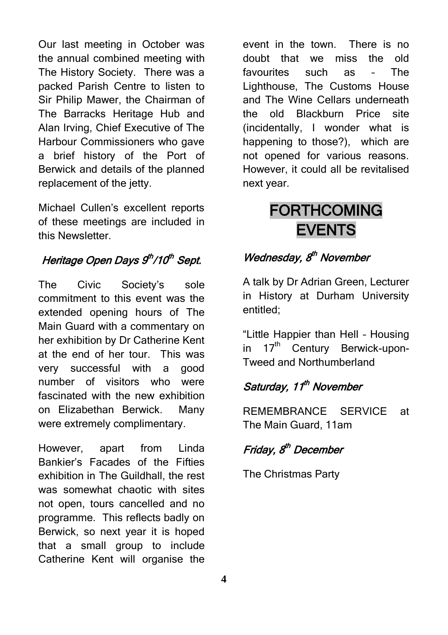Our last meeting in October was the annual combined meeting with The History Society. There was a packed Parish Centre to listen to Sir Philip Mawer, the Chairman of The Barracks Heritage Hub and Alan Irving, Chief Executive of The Harbour Commissioners who gave a brief history of the Port of Berwick and details of the planned replacement of the jetty.

Michael Cullen's excellent reports of these meetings are included in this Newsletter.

### Heritage Open Days 9<sup>th</sup>/10<sup>th</sup> Sept.

The Civic Society's sole commitment to this event was the extended opening hours of The Main Guard with a commentary on her exhibition by Dr Catherine Kent at the end of her tour. This was very successful with a good number of visitors who were fascinated with the new exhibition on Elizabethan Berwick. Many were extremely complimentary.

However, apart from Linda Bankier's Facades of the Fifties exhibition in The Guildhall, the rest was somewhat chaotic with sites not open, tours cancelled and no programme. This reflects badly on Berwick, so next year it is hoped that a small group to include Catherine Kent will organise the

event in the town. There is no doubt that we miss the old favourites such as – The Lighthouse, The Customs House and The Wine Cellars underneath the old Blackburn Price site (incidentally, I wonder what is happening to those?), which are not opened for various reasons. However, it could all be revitalised next year.

# FORTHCOMING EVENTS

### Wednesday, 8<sup>th</sup> November

A talk by Dr Adrian Green, Lecturer in History at Durham University entitled;

"Little Happier than Hell – Housing in  $17<sup>th</sup>$  Century Berwick-upon-Tweed and Northumberland

### Saturday, 11<sup>th</sup> November

REMEMBRANCE SERVICE at The Main Guard, 11am

### Friday, 8<sup>th</sup> December

The Christmas Party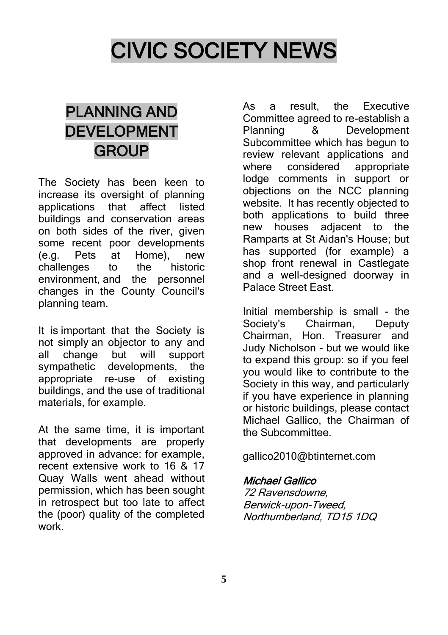# CIVIC SOCIETY NEWS

# PLANNING AND DEVELOPMENT **GROUP**

The Society has been keen to increase its oversight of planning<br>applications that affect listed applications that affect listed buildings and conservation areas on both sides of the river, given some recent poor developments (e.g. Pets at Home), new challenges to the historic environment, and the personnel changes in the County Council's planning team.

It is important that the Society is not simply an objector to any and all change but will support sympathetic developments, the appropriate re-use of existing buildings, and the use of traditional materials, for example.

At the same time, it is important that developments are properly approved in advance: for example, recent extensive work to 16 & 17 Quay Walls went ahead without permission, which has been sought in retrospect but too late to affect the (poor) quality of the completed work.

As a result, the Executive Committee agreed to re-establish a Planning & Development Subcommittee which has begun to review relevant applications and where considered appropriate lodge comments in support or objections on the NCC planning website. It has recently objected to both applications to build three new houses adjacent to the Ramparts at St Aidan's House; but has supported (for example) a shop front renewal in Castlegate and a well-designed doorway in Palace Street East.

Initial membership is small - the Society's Chairman, Deputy Chairman, Hon. Treasurer and Judy Nicholson - but we would like to expand this group: so if you feel you would like to contribute to the Society in this way, and particularly if you have experience in planning or historic buildings, please contact Michael Gallico, the Chairman of the Subcommittee.

gallico2010@btinternet.com

#### Michael Gallico

72 Ravensdowne, Berwick-upon-Tweed, Northumberland, TD15 1DQ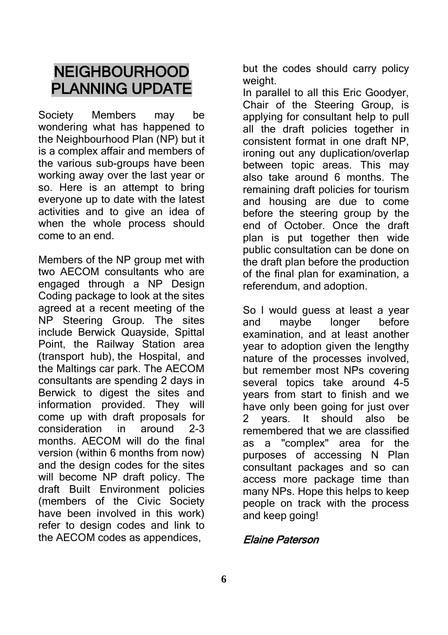## **NEIGHBOURHOOD** PLANNING UPDATE

Society Members may be wondering what has happened to the Neighbourhood Plan (NP) but it is a complex affair and members of the various sub-groups have been working away over the last year or so. Here is an attempt to bring everyone up to date with the latest activities and to give an idea of when the whole process should come to an end.

Members of the NP group met with two AFCOM consultants who are engaged through a NP Design Coding package to look at the sites agreed at a recent meeting of the NP Steering Group. The sites include Berwick Quayside, Spittal Point, the Railway Station area (transport hub), the Hospital, and the Maltings car park. The AECOM consultants are spending 2 days in Berwick to digest the sites and information provided. They will come up with draft proposals for consideration in around 2-3 months. AECOM will do the final version (within 6 months from now) and the design codes for the sites will become NP draft policy. The draft Built Environment policies (members of the Civic Society have been involved in this work) refer to design codes and link to the AECOM codes as appendices,

but the codes should carry policy weight.

In parallel to all this Eric Goodyer, Chair of the Steering Group, is applying for consultant help to pull all the draft policies together in consistent format in one draft NP, ironing out any duplication/overlap between topic areas. This may also take around 6 months. The remaining draft policies for tourism and housing are due to come before the steering group by the end of October. Once the draft plan is put together then wide public consultation can be done on the draft plan before the production of the final plan for examination, a referendum, and adoption.

So I would guess at least a year and maybe longer before examination, and at least another year to adoption given the lengthy nature of the processes involved, but remember most NPs covering several topics take around 4-5 years from start to finish and we have only been going for just over 2 years. It should also be remembered that we are classified as a "complex" area for the purposes of accessing N Plan consultant packages and so can access more package time than many NPs. Hope this helps to keep people on track with the process and keep going!

#### Elaine Paterson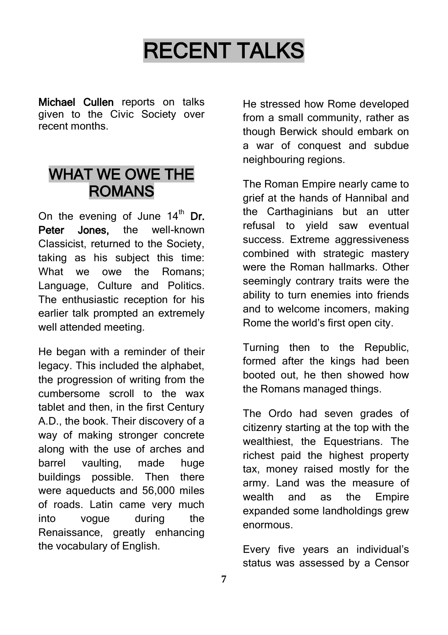# RECENT TALKS

Michael Cullen reports on talks given to the Civic Society over recent months.

### WHAT WE OWE THE ROMANS

On the evening of June  $14<sup>th</sup>$  Dr. Peter Jones, the well-known Classicist, returned to the Society, taking as his subject this time: What we owe the Romans; Language, Culture and Politics. The enthusiastic reception for his earlier talk prompted an extremely well attended meeting.

He began with a reminder of their legacy. This included the alphabet, the progression of writing from the cumbersome scroll to the wax tablet and then, in the first Century A.D., the book. Their discovery of a way of making stronger concrete along with the use of arches and barrel vaulting, made huge buildings possible. Then there were aqueducts and 56,000 miles of roads. Latin came very much into vogue during the Renaissance, greatly enhancing the vocabulary of English.

He stressed how Rome developed from a small community, rather as though Berwick should embark on a war of conquest and subdue neighbouring regions.

The Roman Empire nearly came to grief at the hands of Hannibal and the Carthaginians but an utter refusal to yield saw eventual success. Extreme aggressiveness combined with strategic mastery were the Roman hallmarks. Other seemingly contrary traits were the ability to turn enemies into friends and to welcome incomers, making Rome the world's first open city.

Turning then to the Republic, formed after the kings had been booted out, he then showed how the Romans managed things.

The Ordo had seven grades of citizenry starting at the top with the wealthiest, the Equestrians. The richest paid the highest property tax, money raised mostly for the army. Land was the measure of wealth and as the Empire expanded some landholdings grew enormous.

Every five years an individual's status was assessed by a Censor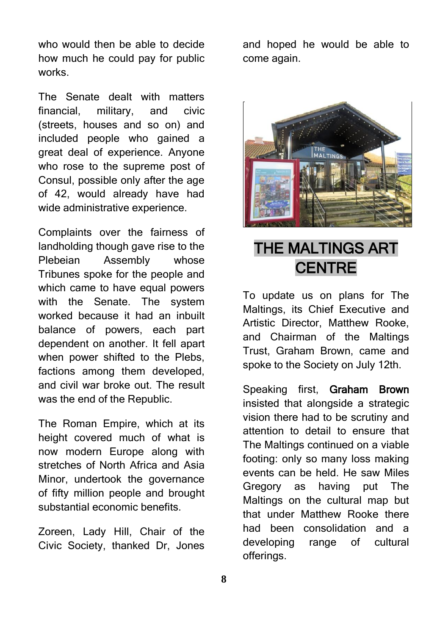who would then be able to decide how much he could pay for public works.

The Senate dealt with matters financial, military, and civic (streets, houses and so on) and included people who gained a great deal of experience. Anyone who rose to the supreme post of Consul, possible only after the age of 42, would already have had wide administrative experience.

Complaints over the fairness of landholding though gave rise to the Plebeian Assembly whose Tribunes spoke for the people and which came to have equal powers with the Senate. The system worked because it had an inbuilt balance of powers, each part dependent on another. It fell apart when power shifted to the Plebs. factions among them developed, and civil war broke out. The result was the end of the Republic.

The Roman Empire, which at its height covered much of what is now modern Europe along with stretches of North Africa and Asia Minor, undertook the governance of fifty million people and brought substantial economic benefits.

Zoreen, Lady Hill, Chair of the Civic Society, thanked Dr, Jones

and hoped he would be able to come again.



# THE MALTINGS ART **CENTRE**

To update us on plans for The Maltings, its Chief Executive and Artistic Director, Matthew Rooke, and Chairman of the Maltings Trust, Graham Brown, came and spoke to the Society on July 12th.

Speaking first, Graham Brown insisted that alongside a strategic vision there had to be scrutiny and attention to detail to ensure that The Maltings continued on a viable footing: only so many loss making events can be held. He saw Miles Gregory as having put The Maltings on the cultural map but that under Matthew Rooke there had been consolidation and a developing range of cultural offerings.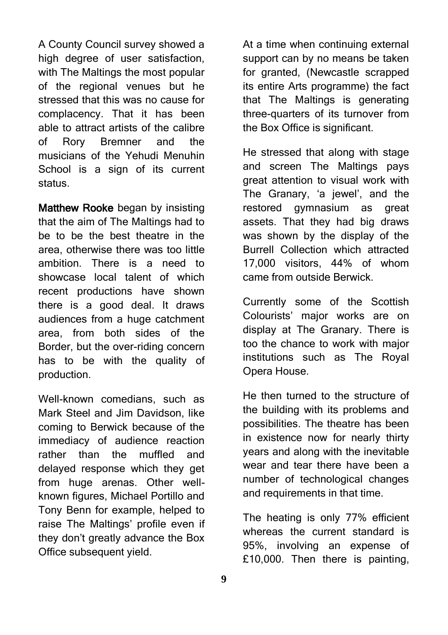A County Council survey showed a high degree of user satisfaction. with The Maltings the most popular of the regional venues but he stressed that this was no cause for complacency. That it has been able to attract artists of the calibre of Rory Bremner and the musicians of the Yehudi Menuhin School is a sign of its current status.

Matthew Rooke began by insisting that the aim of The Maltings had to be to be the best theatre in the area, otherwise there was too little ambition. There is a need to showcase local talent of which recent productions have shown there is a good deal. It draws audiences from a huge catchment area, from both sides of the Border, but the over-riding concern has to be with the quality of production.

Well-known comedians, such as Mark Steel and Jim Davidson, like coming to Berwick because of the immediacy of audience reaction rather than the muffled and delayed response which they get from huge arenas. Other wellknown figures, Michael Portillo and Tony Benn for example, helped to raise The Maltings' profile even if they don't greatly advance the Box Office subsequent yield.

At a time when continuing external support can by no means be taken for granted, (Newcastle scrapped its entire Arts programme) the fact that The Maltings is generating three-quarters of its turnover from the Box Office is significant.

He stressed that along with stage and screen The Maltings pays great attention to visual work with The Granary, 'a jewel', and the restored gymnasium as great assets. That they had big draws was shown by the display of the Burrell Collection which attracted 17,000 visitors, 44% of whom came from outside Berwick.

Currently some of the Scottish Colourists' major works are on display at The Granary. There is too the chance to work with major institutions such as The Royal Opera House.

He then turned to the structure of the building with its problems and possibilities. The theatre has been in existence now for nearly thirty years and along with the inevitable wear and tear there have been a number of technological changes and requirements in that time.

The heating is only 77% efficient whereas the current standard is 95%, involving an expense of £10,000. Then there is painting,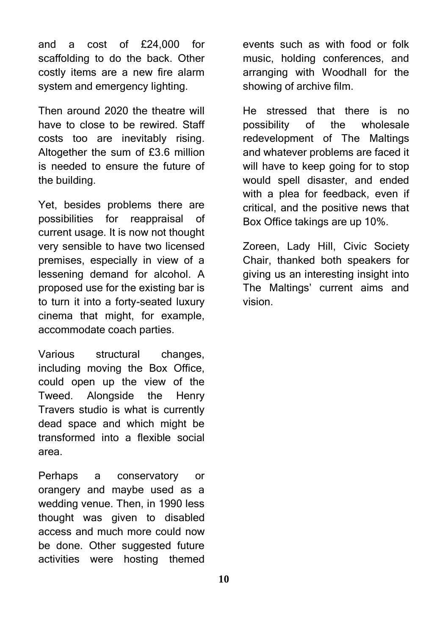and a cost of £24,000 for scaffolding to do the back. Other costly items are a new fire alarm system and emergency lighting.

Then around 2020 the theatre will have to close to be rewired. Staff costs too are inevitably rising. Altogether the sum of £3.6 million is needed to ensure the future of the building.

Yet, besides problems there are possibilities for reappraisal of current usage. It is now not thought very sensible to have two licensed premises, especially in view of a lessening demand for alcohol. A proposed use for the existing bar is to turn it into a forty-seated luxury cinema that might, for example, accommodate coach parties.

Various structural changes, including moving the Box Office, could open up the view of the Tweed. Alongside the Henry Travers studio is what is currently dead space and which might be transformed into a flexible social area.

Perhaps a conservatory or orangery and maybe used as a wedding venue. Then, in 1990 less thought was given to disabled access and much more could now be done. Other suggested future activities were hosting themed

events such as with food or folk music, holding conferences, and arranging with Woodhall for the showing of archive film.

He stressed that there is no possibility of the wholesale redevelopment of The Maltings and whatever problems are faced it will have to keep going for to stop would spell disaster, and ended with a plea for feedback, even if critical, and the positive news that Box Office takings are up 10%.

Zoreen, Lady Hill, Civic Society Chair, thanked both speakers for giving us an interesting insight into The Maltings' current aims and vision.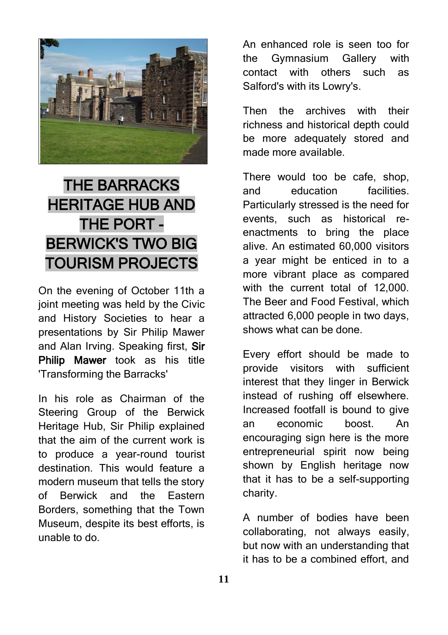

# THE BARRACKS HERITAGE HUB AND THE PORT - BERWICK'S TWO BIG TOURISM PROJECTS

On the evening of October 11th a joint meeting was held by the Civic and History Societies to hear a presentations by Sir Philip Mawer and Alan Irving. Speaking first, Sir Philip Mawer took as his title 'Transforming the Barracks'

In his role as Chairman of the Steering Group of the Berwick Heritage Hub, Sir Philip explained that the aim of the current work is to produce a year-round tourist destination. This would feature a modern museum that tells the story of Berwick and the Eastern Borders, something that the Town Museum, despite its best efforts, is unable to do.

An enhanced role is seen too for the Gymnasium Gallery with contact with others such as Salford's with its Lowry's.

Then the archives with their richness and historical depth could be more adequately stored and made more available.

There would too be cafe, shop, and education facilities. Particularly stressed is the need for events, such as historical reenactments to bring the place alive. An estimated 60,000 visitors a year might be enticed in to a more vibrant place as compared with the current total of 12,000. The Beer and Food Festival, which attracted 6,000 people in two days, shows what can be done.

Every effort should be made to provide visitors with sufficient interest that they linger in Berwick instead of rushing off elsewhere. Increased footfall is bound to give an economic boost. An encouraging sign here is the more entrepreneurial spirit now being shown by English heritage now that it has to be a self-supporting charity.

A number of bodies have been collaborating, not always easily, but now with an understanding that it has to be a combined effort, and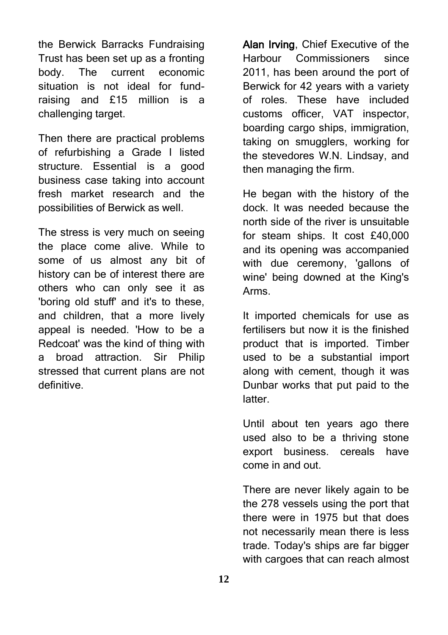the Berwick Barracks Fundraising Trust has been set up as a fronting body. The current economic situation is not ideal for fundraising and £15 million is a challenging target.

Then there are practical problems of refurbishing a Grade I listed structure. Essential is a good business case taking into account fresh market research and the possibilities of Berwick as well.

The stress is very much on seeing the place come alive. While to some of us almost any bit of history can be of interest there are others who can only see it as 'boring old stuff' and it's to these, and children, that a more lively appeal is needed. 'How to be a Redcoat' was the kind of thing with a broad attraction. Sir Philip stressed that current plans are not definitive.

Alan Irving, Chief Executive of the Harbour Commissioners since 2011, has been around the port of Berwick for 42 years with a variety of roles. These have included customs officer, VAT inspector, boarding cargo ships, immigration, taking on smugglers, working for the stevedores W.N. Lindsay, and then managing the firm.

He began with the history of the dock. It was needed because the north side of the river is unsuitable for steam ships. It cost £40,000 and its opening was accompanied with due ceremony, 'gallons of wine' being downed at the King's Arms.

It imported chemicals for use as fertilisers but now it is the finished product that is imported. Timber used to be a substantial import along with cement, though it was Dunbar works that put paid to the latter.

Until about ten years ago there used also to be a thriving stone export business. cereals have come in and out.

There are never likely again to be the 278 vessels using the port that there were in 1975 but that does not necessarily mean there is less trade. Today's ships are far bigger with cargoes that can reach almost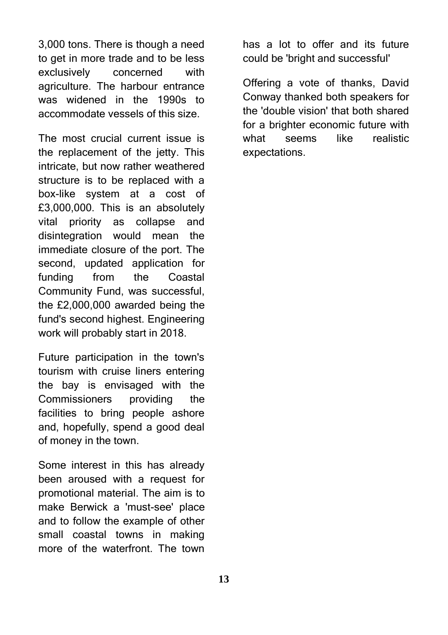3,000 tons. There is though a need to get in more trade and to be less exclusively concerned with agriculture. The harbour entrance was widened in the 1990s to accommodate vessels of this size.

The most crucial current issue is the replacement of the jetty. This intricate, but now rather weathered structure is to be replaced with a box-like system at a cost of £3,000,000. This is an absolutely vital priority as collapse and disintegration would mean the immediate closure of the port. The second, updated application for funding from the Coastal Community Fund, was successful, the £2,000,000 awarded being the fund's second highest. Engineering work will probably start in 2018.

Future participation in the town's tourism with cruise liners entering the bay is envisaged with the Commissioners providing the facilities to bring people ashore and, hopefully, spend a good deal of money in the town.

Some interest in this has already been aroused with a request for promotional material. The aim is to make Berwick a 'must-see' place and to follow the example of other small coastal towns in making more of the waterfront. The town

has a lot to offer and its future could be 'bright and successful'

Offering a vote of thanks, David Conway thanked both speakers for the 'double vision' that both shared for a brighter economic future with what seems like realistic expectations.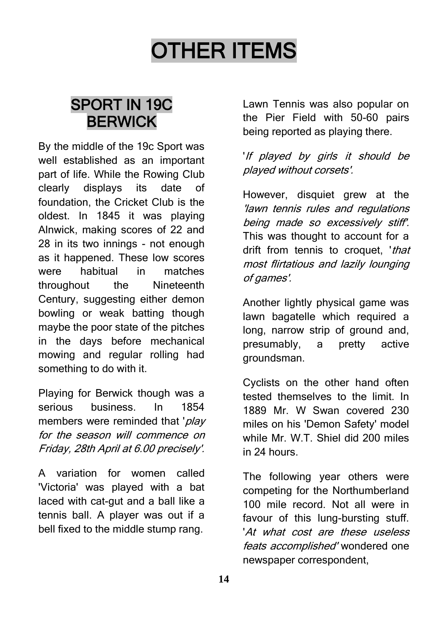# OTHER ITEMS

# SPORT IN 19C BERWICK

By the middle of the 19c Sport was well established as an important part of life. While the Rowing Club clearly displays its date of foundation, the Cricket Club is the oldest. In 1845 it was playing Alnwick, making scores of 22 and 28 in its two innings - not enough as it happened. These low scores were habitual in matches throughout the Nineteenth Century, suggesting either demon bowling or weak batting though maybe the poor state of the pitches in the days before mechanical mowing and regular rolling had something to do with it.

Playing for Berwick though was a serious business. In 1854 members were reminded that 'play for the season will commence on Friday, 28th April at 6.00 precisely'.

A variation for women called 'Victoria' was played with a bat laced with cat-gut and a ball like a tennis ball. A player was out if a bell fixed to the middle stump rang.

Lawn Tennis was also popular on the Pier Field with 50-60 pairs being reported as playing there.

### 'If played by girls it should be played without corsets'.

However, disquiet grew at the 'lawn tennis rules and regulations being made so excessively stiff'. This was thought to account for a drift from tennis to croquet. *that* most flirtatious and lazily lounging of games'.

Another lightly physical game was lawn bagatelle which required a long, narrow strip of ground and, presumably, a pretty active groundsman.

Cyclists on the other hand often tested themselves to the limit. In 1889 Mr. W Swan covered 230 miles on his 'Demon Safety' model while Mr. W.T. Shiel did 200 miles in 24 hours.

The following year others were competing for the Northumberland 100 mile record. Not all were in favour of this lung-bursting stuff. 'At what cost are these useless feats accomplished' wondered one newspaper correspondent,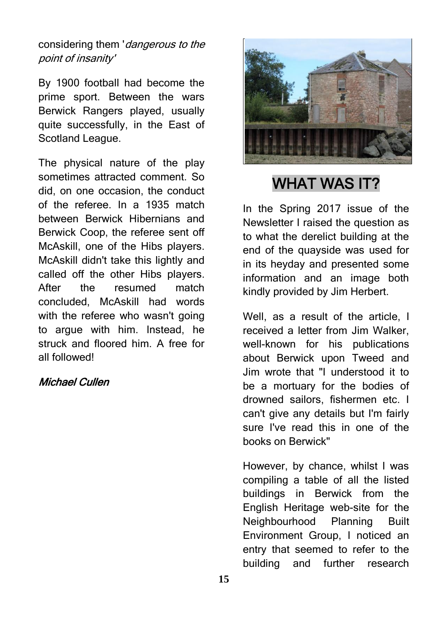considering them 'dangerous to the point of insanity'

By 1900 football had become the prime sport. Between the wars Berwick Rangers played, usually quite successfully, in the East of Scotland League.

The physical nature of the play sometimes attracted comment. So did, on one occasion, the conduct of the referee. In a 1935 match between Berwick Hibernians and Berwick Coop, the referee sent off McAskill, one of the Hibs players. McAskill didn't take this lightly and called off the other Hibs players. After the resumed match concluded, McAskill had words with the referee who wasn't going to argue with him. Instead, he struck and floored him. A free for all followed!

#### Michael Cullen



# WHAT WAS IT?

In the Spring 2017 issue of the Newsletter I raised the question as to what the derelict building at the end of the quayside was used for in its heyday and presented some information and an image both kindly provided by Jim Herbert.

Well, as a result of the article, I received a letter from Jim Walker, well-known for his publications about Berwick upon Tweed and Jim wrote that "I understood it to be a mortuary for the bodies of drowned sailors, fishermen etc. I can't give any details but I'm fairly sure I've read this in one of the books on Berwick"

However, by chance, whilst I was compiling a table of all the listed buildings in Berwick from the English Heritage web-site for the Neighbourhood Planning Built Environment Group, I noticed an entry that seemed to refer to the building and further research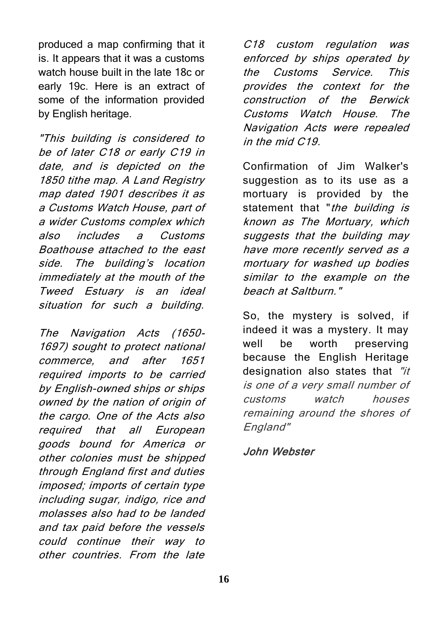produced a map confirming that it is. It appears that it was a customs watch house built in the late 18c or early 19c. Here is an extract of some of the information provided by English heritage.

"This building is considered to be of later C18 or early C19 in date, and is depicted on the 1850 tithe map. A Land Registry map dated 1901 describes it as a Customs Watch House, part of a wider Customs complex which also includes a Customs Boathouse attached to the east side. The building's location immediately at the mouth of the Tweed Estuary is an ideal situation for such a building.

The Navigation Acts (1650- 1697) sought to protect national commerce, and after 1651 required imports to be carried by English-owned ships or ships owned by the nation of origin of the cargo. One of the Acts also required that all European goods bound for America or other colonies must be shipped through England first and duties imposed; imports of certain type including sugar, indigo, rice and molasses also had to be landed and tax paid before the vessels could continue their way to other countries. From the late

C18 custom regulation was enforced by ships operated by the Customs Service. This provides the context for the construction of the Berwick Customs Watch House. The Navigation Acts were repealed in the mid C19.

Confirmation of Jim Walker's suggestion as to its use as a mortuary is provided by the statement that "the building is known as The Mortuary, which suggests that the building may have more recently served as a mortuary for washed up bodies similar to the example on the beach at Saltburn."

So, the mystery is solved, if indeed it was a mystery. It may well be worth preserving because the English Heritage designation also states that "it is one of a very small number of customs watch houses remaining around the shores of England"

John Webster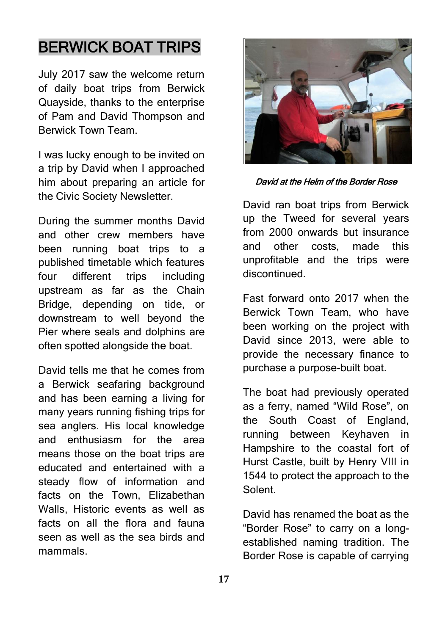# BERWICK BOAT TRIPS

July 2017 saw the welcome return of daily boat trips from Berwick Quayside, thanks to the enterprise of Pam and David Thompson and Berwick Town Team.

I was lucky enough to be invited on a trip by David when I approached him about preparing an article for the Civic Society Newsletter.

During the summer months David and other crew members have been running boat trips to a published timetable which features four different trips including upstream as far as the Chain Bridge, depending on tide, or downstream to well beyond the Pier where seals and dolphins are often spotted alongside the boat.

David tells me that he comes from a Berwick seafaring background and has been earning a living for many years running fishing trips for sea anglers. His local knowledge and enthusiasm for the area means those on the boat trips are educated and entertained with a steady flow of information and facts on the Town, Elizabethan Walls, Historic events as well as facts on all the flora and fauna seen as well as the sea birds and mammals.



David at the Helm of the Border Rose

David ran boat trips from Berwick up the Tweed for several years from 2000 onwards but insurance and other costs, made this unprofitable and the trips were discontinued.

Fast forward onto 2017 when the Berwick Town Team, who have been working on the project with David since 2013, were able to provide the necessary finance to purchase a purpose-built boat.

The boat had previously operated as a ferry, named "Wild Rose", on the South Coast of England, running between Keyhaven in Hampshire to the coastal fort of Hurst Castle, built by Henry VIII in 1544 to protect the approach to the Solent.

David has renamed the boat as the "Border Rose" to carry on a longestablished naming tradition. The Border Rose is capable of carrying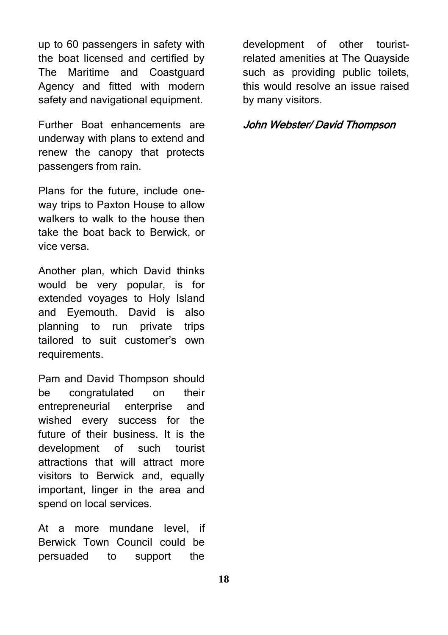up to 60 passengers in safety with the boat licensed and certified by The Maritime and Coastguard Agency and fitted with modern safety and navigational equipment.

Further Boat enhancements are underway with plans to extend and renew the canopy that protects passengers from rain.

Plans for the future, include oneway trips to Paxton House to allow walkers to walk to the house then take the boat back to Berwick, or vice versa.

Another plan, which David thinks would be very popular, is for extended voyages to Holy Island and Eyemouth. David is also planning to run private trips tailored to suit customer's own requirements.

Pam and David Thompson should be congratulated on their entrepreneurial enterprise and wished every success for the future of their business. It is the development of such tourist attractions that will attract more visitors to Berwick and, equally important, linger in the area and spend on local services.

At a more mundane level, if Berwick Town Council could be persuaded to support the development of other touristrelated amenities at The Quayside such as providing public toilets. this would resolve an issue raised by many visitors.

#### John Webster/ David Thompson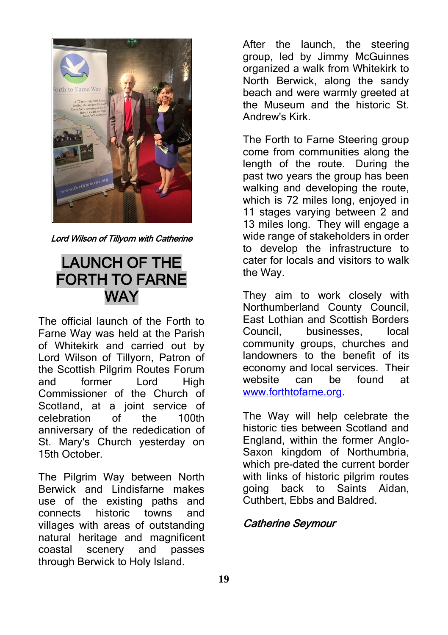

Lord Wilson of Tillyorn with Catherine

### LAUNCH OF THE FORTH TO FARNE **WAY**

The official launch of the Forth to Farne Way was held at the Parish of Whitekirk and carried out by Lord Wilson of Tillyorn, Patron of the Scottish Pilgrim Routes Forum and former Lord High Commissioner of the Church of Scotland, at a joint service of celebration of the 100th anniversary of the rededication of St. Mary's Church yesterday on 15th October.

The Pilgrim Way between North Berwick and Lindisfarne makes use of the existing paths and connects historic towns and villages with areas of outstanding natural heritage and magnificent coastal scenery and passes through Berwick to Holy Island.

After the launch, the steering group, led by Jimmy McGuinnes organized a walk from Whitekirk to North Berwick, along the sandy beach and were warmly greeted at the Museum and the historic St. Andrew's Kirk.

The Forth to Farne Steering group come from communities along the length of the route. During the past two years the group has been walking and developing the route, which is 72 miles long, enjoyed in 11 stages varying between 2 and 13 miles long. They will engage a wide range of stakeholders in order to develop the infrastructure to cater for locals and visitors to walk the Way.

They aim to work closely with Northumberland County Council, East Lothian and Scottish Borders Council, businesses, local community groups, churches and landowners to the benefit of its economy and local services. Their website can be found at [www.forthtofarne.org.](http://www.forthtofarne.org/)

The Way will help celebrate the historic ties between Scotland and England, within the former Anglo-Saxon kingdom of Northumbria, which pre-dated the current border with links of historic pilgrim routes going back to Saints Aidan, Cuthbert, Ebbs and Baldred.

### Catherine Seymour